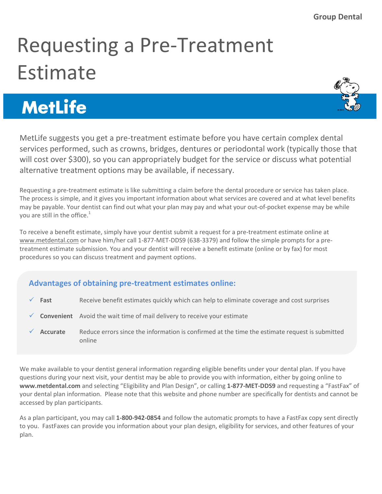## Requesting a Pre-Treatment Estimate

## **MetLife**

MetLife suggests you get a pre-treatment estimate before you have certain complex dental services performed, such as crowns, bridges, dentures or periodontal work (typically those that will cost over \$300), so you can appropriately budget for the service or discuss what potential alternative treatment options may be available, if necessary.

Requesting a pre-treatment estimate is like submitting a claim before the dental procedure or service has taken place. The process is simple, and it gives you important information about what services are covered and at what level benefits may be payable. Your dentist can find out what your plan may pay and what your out-of-pocket expense may be while you are still in the office. $<sup>1</sup>$ </sup>

To receive a benefit estimate, simply have your dentist submit a request for a pre-treatment estimate online at www.metdental.com or have him/her call 1-877-MET-DDS9 (638-3379) and follow the simple prompts for a pretreatment estimate submission. You and your dentist will receive a benefit estimate (online or by fax) for most procedures so you can discuss treatment and payment options.

## **Advantages of obtaining pre-treatment estimates online:**

- $\checkmark$  **Fast** Receive benefit estimates quickly which can help to eliminate coverage and cost surprises
- **Convenient** Avoid the wait time of mail delivery to receive your estimate
- **Accurate** Reduce errors since the information is confirmed at the time the estimate request is submitted online

We make available to your dentist general information regarding eligible benefits under your dental plan. If you have questions during your next visit, your dentist may be able to provide you with information, either by going online to **www.metdental.com** and selecting "Eligibility and Plan Design", or calling **1-877-MET-DDS9** and requesting a "FastFax" of your dental plan information. Please note that this website and phone number are specifically for dentists and cannot be accessed by plan participants.

As a plan participant, you may call **1-800-942-0854** and follow the automatic prompts to have a FastFax copy sent directly to you. FastFaxes can provide you information about your plan design, eligibility for services, and other features of your plan.